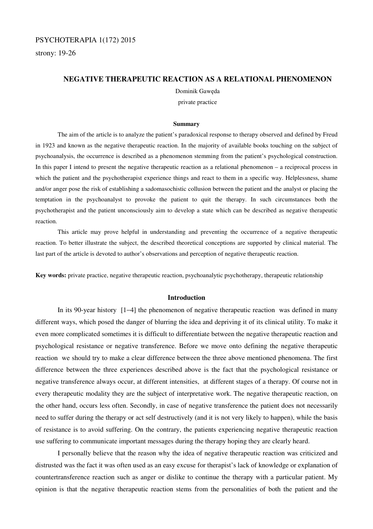# PSYCHOTERAPIA 1(172) 2015

strony: 19-26

## **NEGATIVE THERAPEUTIC REACTION AS A RELATIONAL PHENOMENON**

Dominik Gawęda

private practice

#### **Summary**

 The aim of the article is to analyze the patient's paradoxical response to therapy observed and defined by Freud in 1923 and known as the negative therapeutic reaction. In the majority of available books touching on the subject of psychoanalysis, the occurrence is described as a phenomenon stemming from the patient's psychological construction. In this paper I intend to present the negative therapeutic reaction as a relational phenomenon – a reciprocal process in which the patient and the psychotherapist experience things and react to them in a specific way. Helplessness, shame and/or anger pose the risk of establishing a sadomasochistic collusion between the patient and the analyst or placing the temptation in the psychoanalyst to provoke the patient to quit the therapy. In such circumstances both the psychotherapist and the patient unconsciously aim to develop a state which can be described as negative therapeutic reaction.

 This article may prove helpful in understanding and preventing the occurrence of a negative therapeutic reaction. To better illustrate the subject, the described theoretical conceptions are supported by clinical material. The last part of the article is devoted to author's observations and perception of negative therapeutic reaction.

**Key words:** private practice, negative therapeutic reaction, psychoanalytic psychotherapy, therapeutic relationship

### **Introduction**

 In its 90-year history [1−4] the phenomenon of negative therapeutic reaction was defined in many different ways, which posed the danger of blurring the idea and depriving it of its clinical utility. To make it even more complicated sometimes it is difficult to differentiate between the negative therapeutic reaction and psychological resistance or negative transference. Before we move onto defining the negative therapeutic reaction we should try to make a clear difference between the three above mentioned phenomena. The first difference between the three experiences described above is the fact that the psychological resistance or negative transference always occur, at different intensities, at different stages of a therapy. Of course not in every therapeutic modality they are the subject of interpretative work. The negative therapeutic reaction, on the other hand, occurs less often. Secondly, in case of negative transference the patient does not necessarily need to suffer during the therapy or act self destructively (and it is not very likely to happen), while the basis of resistance is to avoid suffering. On the contrary, the patients experiencing negative therapeutic reaction use suffering to communicate important messages during the therapy hoping they are clearly heard.

I personally believe that the reason why the idea of negative therapeutic reaction was criticized and distrusted was the fact it was often used as an easy excuse for therapist's lack of knowledge or explanation of countertransference reaction such as anger or dislike to continue the therapy with a particular patient. My opinion is that the negative therapeutic reaction stems from the personalities of both the patient and the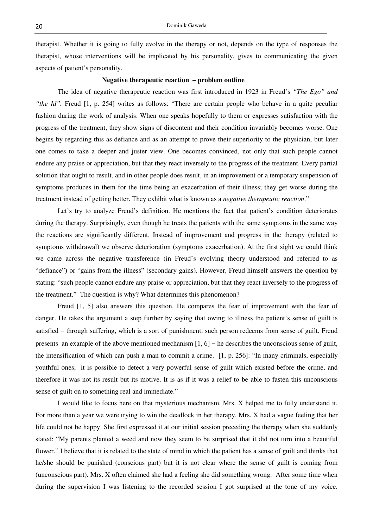therapist. Whether it is going to fully evolve in the therapy or not, depends on the type of responses the therapist, whose interventions will be implicated by his personality, gives to communicating the given aspects of patient's personality.

## **Negative therapeutic reaction – problem outline**

The idea of negative therapeutic reaction was first introduced in 1923 in Freud's *"The Ego" and "the Id"*. Freud [1, p. 254] writes as follows: "There are certain people who behave in a quite peculiar fashion during the work of analysis. When one speaks hopefully to them or expresses satisfaction with the progress of the treatment, they show signs of discontent and their condition invariably becomes worse. One begins by regarding this as defiance and as an attempt to prove their superiority to the physician, but later one comes to take a deeper and juster view. One becomes convinced, not only that such people cannot endure any praise or appreciation, but that they react inversely to the progress of the treatment. Every partial solution that ought to result, and in other people does result, in an improvement or a temporary suspension of symptoms produces in them for the time being an exacerbation of their illness; they get worse during the treatment instead of getting better. They exhibit what is known as a *negative therapeutic reaction*."

Let's try to analyze Freud's definition. He mentions the fact that patient's condition deteriorates during the therapy. Surprisingly, even though he treats the patients with the same symptoms in the same way the reactions are significantly different. Instead of improvement and progress in the therapy (related to symptoms withdrawal) we observe deterioration (symptoms exacerbation). At the first sight we could think we came across the negative transference (in Freud's evolving theory understood and referred to as "defiance") or "gains from the illness" (secondary gains). However, Freud himself answers the question by stating: "such people cannot endure any praise or appreciation, but that they react inversely to the progress of the treatment." The question is why? What determines this phenomenon?

Freud [1, 5] also answers this question. He compares the fear of improvement with the fear of danger. He takes the argument a step further by saying that owing to illness the patient's sense of guilt is satisfied – through suffering, which is a sort of punishment, such person redeems from sense of guilt. Freud presents an example of the above mentioned mechanism  $[1, 6]$  – he describes the unconscious sense of guilt, the intensification of which can push a man to commit a crime. [1, p. 256]: "In many criminals, especially youthful ones, it is possible to detect a very powerful sense of guilt which existed before the crime, and therefore it was not its result but its motive. It is as if it was a relief to be able to fasten this unconscious sense of guilt on to something real and immediate."

I would like to focus here on that mysterious mechanism. Mrs. X helped me to fully understand it. For more than a year we were trying to win the deadlock in her therapy. Mrs. X had a vague feeling that her life could not be happy. She first expressed it at our initial session preceding the therapy when she suddenly stated: "My parents planted a weed and now they seem to be surprised that it did not turn into a beautiful flower." I believe that it is related to the state of mind in which the patient has a sense of guilt and thinks that he/she should be punished (conscious part) but it is not clear where the sense of guilt is coming from (unconscious part). Mrs. X often claimed she had a feeling she did something wrong. After some time when during the supervision I was listening to the recorded session I got surprised at the tone of my voice.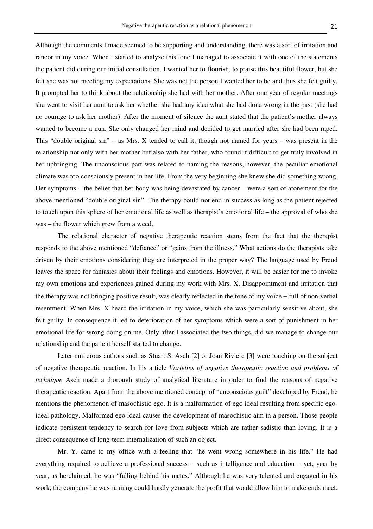Although the comments I made seemed to be supporting and understanding, there was a sort of irritation and rancor in my voice. When I started to analyze this tone I managed to associate it with one of the statements the patient did during our initial consultation. I wanted her to flourish, to praise this beautiful flower, but she felt she was not meeting my expectations. She was not the person I wanted her to be and thus she felt guilty. It prompted her to think about the relationship she had with her mother. After one year of regular meetings she went to visit her aunt to ask her whether she had any idea what she had done wrong in the past (she had no courage to ask her mother). After the moment of silence the aunt stated that the patient's mother always wanted to become a nun. She only changed her mind and decided to get married after she had been raped. This "double original sin" – as Mrs. X tended to call it, though not named for years – was present in the relationship not only with her mother but also with her father, who found it difficult to get truly involved in her upbringing. The unconscious part was related to naming the reasons, however, the peculiar emotional climate was too consciously present in her life. From the very beginning she knew she did something wrong. Her symptoms – the belief that her body was being devastated by cancer – were a sort of atonement for the above mentioned "double original sin". The therapy could not end in success as long as the patient rejected to touch upon this sphere of her emotional life as well as therapist's emotional life – the approval of who she was – the flower which grew from a weed.

The relational character of negative therapeutic reaction stems from the fact that the therapist responds to the above mentioned "defiance" or "gains from the illness." What actions do the therapists take driven by their emotions considering they are interpreted in the proper way? The language used by Freud leaves the space for fantasies about their feelings and emotions. However, it will be easier for me to invoke my own emotions and experiences gained during my work with Mrs. X. Disappointment and irritation that the therapy was not bringing positive result, was clearly reflected in the tone of my voice − full of non-verbal resentment. When Mrs. X heard the irritation in my voice, which she was particularly sensitive about, she felt guilty. In consequence it led to deterioration of her symptoms which were a sort of punishment in her emotional life for wrong doing on me. Only after I associated the two things, did we manage to change our relationship and the patient herself started to change.

Later numerous authors such as Stuart S. Asch [2] or Joan Riviere [3] were touching on the subject of negative therapeutic reaction. In his article *Varieties of negative therapeutic reaction and problems of technique* Asch made a thorough study of analytical literature in order to find the reasons of negative therapeutic reaction. Apart from the above mentioned concept of "unconscious guilt" developed by Freud, he mentions the phenomenon of masochistic ego. It is a malformation of ego ideal resulting from specific egoideal pathology. Malformed ego ideal causes the development of masochistic aim in a person. Those people indicate persistent tendency to search for love from subjects which are rather sadistic than loving. It is a direct consequence of long-term internalization of such an object.

Mr. Y. came to my office with a feeling that "he went wrong somewhere in his life." He had everything required to achieve a professional success − such as intelligence and education − yet, year by year, as he claimed, he was "falling behind his mates." Although he was very talented and engaged in his work, the company he was running could hardly generate the profit that would allow him to make ends meet.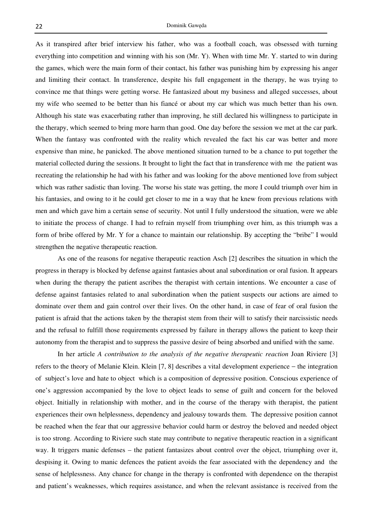As it transpired after brief interview his father, who was a football coach, was obsessed with turning everything into competition and winning with his son (Mr. Y). When with time Mr. Y. started to win during the games, which were the main form of their contact, his father was punishing him by expressing his anger and limiting their contact. In transference, despite his full engagement in the therapy, he was trying to convince me that things were getting worse. He fantasized about my business and alleged successes, about my wife who seemed to be better than his fiancé or about my car which was much better than his own. Although his state was exacerbating rather than improving, he still declared his willingness to participate in the therapy, which seemed to bring more harm than good. One day before the session we met at the car park. When the fantasy was confronted with the reality which revealed the fact his car was better and more expensive than mine, he panicked. The above mentioned situation turned to be a chance to put together the material collected during the sessions. It brought to light the fact that in transference with me the patient was recreating the relationship he had with his father and was looking for the above mentioned love from subject which was rather sadistic than loving. The worse his state was getting, the more I could triumph over him in his fantasies, and owing to it he could get closer to me in a way that he knew from previous relations with men and which gave him a certain sense of security. Not until I fully understood the situation, were we able to initiate the process of change. I had to refrain myself from triumphing over him, as this triumph was a form of bribe offered by Mr. Y for a chance to maintain our relationship. By accepting the "bribe" I would strengthen the negative therapeutic reaction.

As one of the reasons for negative therapeutic reaction Asch [2] describes the situation in which the progress in therapy is blocked by defense against fantasies about anal subordination or oral fusion. It appears when during the therapy the patient ascribes the therapist with certain intentions. We encounter a case of defense against fantasies related to anal subordination when the patient suspects our actions are aimed to dominate over them and gain control over their lives. On the other hand, in case of fear of oral fusion the patient is afraid that the actions taken by the therapist stem from their will to satisfy their narcissistic needs and the refusal to fulfill those requirements expressed by failure in therapy allows the patient to keep their autonomy from the therapist and to suppress the passive desire of being absorbed and unified with the same.

In her article *A contribution to the analysis of the negative therapeutic reaction* Joan Riviere [3] refers to the theory of Melanie Klein. Klein [7, 8] describes a vital development experience − the integration of subject's love and hate to object which is a composition of depressive position. Conscious experience of one's aggression accompanied by the love to object leads to sense of guilt and concern for the beloved object. Initially in relationship with mother, and in the course of the therapy with therapist, the patient experiences their own helplessness, dependency and jealousy towards them. The depressive position cannot be reached when the fear that our aggressive behavior could harm or destroy the beloved and needed object is too strong. According to Riviere such state may contribute to negative therapeutic reaction in a significant way. It triggers manic defenses – the patient fantasizes about control over the object, triumphing over it, despising it. Owing to manic defences the patient avoids the fear associated with the dependency and the sense of helplessness. Any chance for change in the therapy is confronted with dependence on the therapist and patient's weaknesses, which requires assistance, and when the relevant assistance is received from the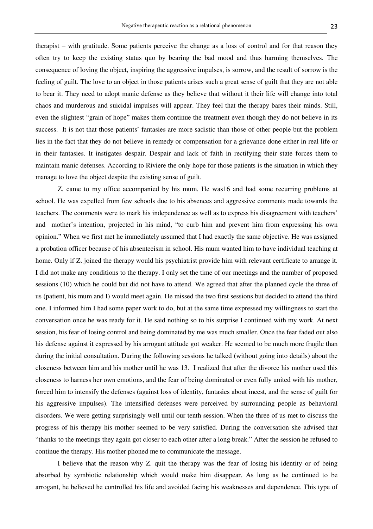therapist − with gratitude. Some patients perceive the change as a loss of control and for that reason they often try to keep the existing status quo by bearing the bad mood and thus harming themselves. The consequence of loving the object, inspiring the aggressive impulses, is sorrow, and the result of sorrow is the feeling of guilt. The love to an object in those patients arises such a great sense of guilt that they are not able to bear it. They need to adopt manic defense as they believe that without it their life will change into total chaos and murderous and suicidal impulses will appear. They feel that the therapy bares their minds. Still, even the slightest "grain of hope" makes them continue the treatment even though they do not believe in its success. It is not that those patients' fantasies are more sadistic than those of other people but the problem lies in the fact that they do not believe in remedy or compensation for a grievance done either in real life or in their fantasies. It instigates despair. Despair and lack of faith in rectifying their state forces them to maintain manic defenses. According to Riviere the only hope for those patients is the situation in which they manage to love the object despite the existing sense of guilt.

Z. came to my office accompanied by his mum. He was16 and had some recurring problems at school. He was expelled from few schools due to his absences and aggressive comments made towards the teachers. The comments were to mark his independence as well as to express his disagreement with teachers' and mother's intention, projected in his mind, "to curb him and prevent him from expressing his own opinion." When we first met he immediately assumed that I had exactly the same objective. He was assigned a probation officer because of his absenteeism in school. His mum wanted him to have individual teaching at home. Only if Z. joined the therapy would his psychiatrist provide him with relevant certificate to arrange it. I did not make any conditions to the therapy. I only set the time of our meetings and the number of proposed sessions (10) which he could but did not have to attend. We agreed that after the planned cycle the three of us (patient, his mum and I) would meet again. He missed the two first sessions but decided to attend the third one. I informed him I had some paper work to do, but at the same time expressed my willingness to start the conversation once he was ready for it. He said nothing so to his surprise I continued with my work. At next session, his fear of losing control and being dominated by me was much smaller. Once the fear faded out also his defense against it expressed by his arrogant attitude got weaker. He seemed to be much more fragile than during the initial consultation. During the following sessions he talked (without going into details) about the closeness between him and his mother until he was 13. I realized that after the divorce his mother used this closeness to harness her own emotions, and the fear of being dominated or even fully united with his mother, forced him to intensify the defenses (against loss of identity, fantasies about incest, and the sense of guilt for his aggressive impulses). The intensified defenses were perceived by surrounding people as behavioral disorders. We were getting surprisingly well until our tenth session. When the three of us met to discuss the progress of his therapy his mother seemed to be very satisfied. During the conversation she advised that "thanks to the meetings they again got closer to each other after a long break." After the session he refused to continue the therapy. His mother phoned me to communicate the message.

I believe that the reason why Z. quit the therapy was the fear of losing his identity or of being absorbed by symbiotic relationship which would make him disappear. As long as he continued to be arrogant, he believed he controlled his life and avoided facing his weaknesses and dependence. This type of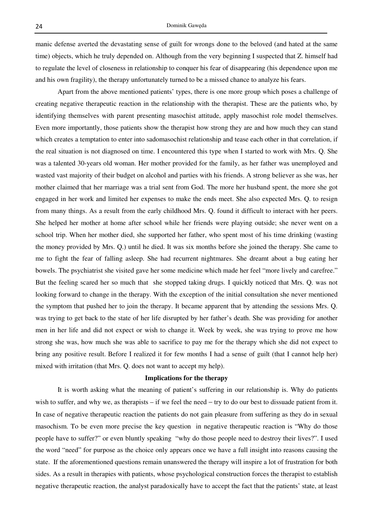manic defense averted the devastating sense of guilt for wrongs done to the beloved (and hated at the same time) objects, which he truly depended on. Although from the very beginning I suspected that Z. himself had to regulate the level of closeness in relationship to conquer his fear of disappearing (his dependence upon me and his own fragility), the therapy unfortunately turned to be a missed chance to analyze his fears.

Apart from the above mentioned patients' types, there is one more group which poses a challenge of creating negative therapeutic reaction in the relationship with the therapist. These are the patients who, by identifying themselves with parent presenting masochist attitude, apply masochist role model themselves. Even more importantly, those patients show the therapist how strong they are and how much they can stand which creates a temptation to enter into sadomasochist relationship and tease each other in that correlation, if the real situation is not diagnosed on time. I encountered this type when I started to work with Mrs. Q. She was a talented 30-years old woman. Her mother provided for the family, as her father was unemployed and wasted vast majority of their budget on alcohol and parties with his friends. A strong believer as she was, her mother claimed that her marriage was a trial sent from God. The more her husband spent, the more she got engaged in her work and limited her expenses to make the ends meet. She also expected Mrs. Q. to resign from many things. As a result from the early childhood Mrs. Q. found it difficult to interact with her peers. She helped her mother at home after school while her friends were playing outside; she never went on a school trip. When her mother died, she supported her father, who spent most of his time drinking (wasting the money provided by Mrs. Q.) until he died. It was six months before she joined the therapy. She came to me to fight the fear of falling asleep. She had recurrent nightmares. She dreamt about a bug eating her bowels. The psychiatrist she visited gave her some medicine which made her feel "more lively and carefree." But the feeling scared her so much that she stopped taking drugs. I quickly noticed that Mrs. Q. was not looking forward to change in the therapy. With the exception of the initial consultation she never mentioned the symptom that pushed her to join the therapy. It became apparent that by attending the sessions Mrs. Q. was trying to get back to the state of her life disrupted by her father's death. She was providing for another men in her life and did not expect or wish to change it. Week by week, she was trying to prove me how strong she was, how much she was able to sacrifice to pay me for the therapy which she did not expect to bring any positive result. Before I realized it for few months I had a sense of guilt (that I cannot help her) mixed with irritation (that Mrs. Q. does not want to accept my help).

### **Implications for the therapy**

It is worth asking what the meaning of patient's suffering in our relationship is. Why do patients wish to suffer, and why we, as therapists – if we feel the need – try to do our best to dissuade patient from it. In case of negative therapeutic reaction the patients do not gain pleasure from suffering as they do in sexual masochism. To be even more precise the key question in negative therapeutic reaction is "Why do those people have to suffer?" or even bluntly speaking "why do those people need to destroy their lives?". I used the word "need" for purpose as the choice only appears once we have a full insight into reasons causing the state. If the aforementioned questions remain unanswered the therapy will inspire a lot of frustration for both sides. As a result in therapies with patients, whose psychological construction forces the therapist to establish negative therapeutic reaction, the analyst paradoxically have to accept the fact that the patients' state, at least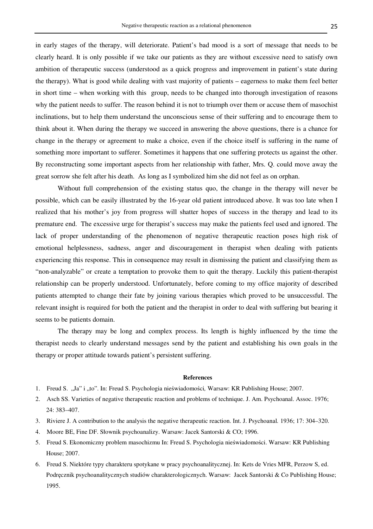in early stages of the therapy, will deteriorate. Patient's bad mood is a sort of message that needs to be clearly heard. It is only possible if we take our patients as they are without excessive need to satisfy own ambition of therapeutic success (understood as a quick progress and improvement in patient's state during the therapy). What is good while dealing with vast majority of patients – eagerness to make them feel better in short time – when working with this group, needs to be changed into thorough investigation of reasons why the patient needs to suffer. The reason behind it is not to triumph over them or accuse them of masochist inclinations, but to help them understand the unconscious sense of their suffering and to encourage them to think about it. When during the therapy we succeed in answering the above questions, there is a chance for change in the therapy or agreement to make a choice, even if the choice itself is suffering in the name of something more important to sufferer. Sometimes it happens that one suffering protects us against the other. By reconstructing some important aspects from her relationship with father, Mrs. Q. could move away the great sorrow she felt after his death. As long as I symbolized him she did not feel as on orphan.

Without full comprehension of the existing status quo, the change in the therapy will never be possible, which can be easily illustrated by the 16-year old patient introduced above. It was too late when I realized that his mother's joy from progress will shatter hopes of success in the therapy and lead to its premature end. The excessive urge for therapist's success may make the patients feel used and ignored. The lack of proper understanding of the phenomenon of negative therapeutic reaction poses high risk of emotional helplessness, sadness, anger and discouragement in therapist when dealing with patients experiencing this response. This in consequence may result in dismissing the patient and classifying them as "non-analyzable" or create a temptation to provoke them to quit the therapy. Luckily this patient-therapist relationship can be properly understood. Unfortunately, before coming to my office majority of described patients attempted to change their fate by joining various therapies which proved to be unsuccessful. The relevant insight is required for both the patient and the therapist in order to deal with suffering but bearing it seems to be patients domain.

The therapy may be long and complex process. Its length is highly influenced by the time the therapist needs to clearly understand messages send by the patient and establishing his own goals in the therapy or proper attitude towards patient's persistent suffering.

#### **References**

- 1. Freud S. "Ja" i "to". In: Freud S. Psychologia nieświadomości, Warsaw: KR Publishing House; 2007.
- 2. Asch SS. Varieties of negative therapeutic reaction and problems of technique. J. Am. Psychoanal. Assoc. 1976; 24: 383–407.
- 3. Riviere J. A contribution to the analysis the negative therapeutic reaction. Int. J. Psychoanal*.* 1936; 17: 304–320.
- 4. Moore BE, Fine DF. Słownik psychoanalizy. Warsaw: Jacek Santorski & CO; 1996.
- 5. Freud S. Ekonomiczny problem masochizmu In: Freud S. Psychologia nieświadomości. Warsaw: KR Publishing House; 2007.
- 6. Freud S. Niektóre typy charakteru spotykane w pracy psychoanalitycznej. In: Kets de Vries MFR, Perzow S, ed. Podręcznik psychoanalitycznych studiów charakterologicznych. Warsaw: Jacek Santorski & Co Publishing House; 1995.